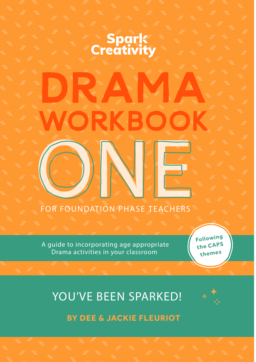# **Spark**<br>Creativity

A

 $\blacksquare$  $\blacksquare$ 

FOR FOUNDATION PHASE TEACHERS

A guide to incorporating age appropriate Drama activities in your classroom

Following the CAPS themes

A

## YOU'VE BEEN SPARKED!



**BY DEE & JACKIE FLEURIOT**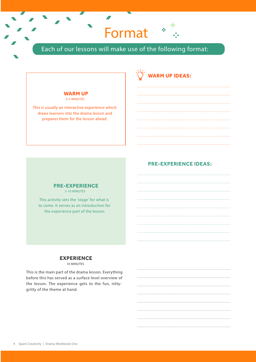Format

Each of our lessons will make use of the following format:

 $\overline{\phantom{a}}$ 

#### **WARM UP** 3-5 MINUTES

This is usually an interactive experience which draws learners into the drama lesson and prepares them for the lesson ahead.

#### **PRE-EXPERIENCE IDEAS:**

\_\_\_\_\_\_\_\_\_\_\_\_\_\_\_\_\_\_\_\_\_\_\_\_\_\_\_\_\_\_\_\_\_\_\_\_\_\_\_\_\_\_\_ \_\_\_\_\_\_\_\_\_\_\_\_\_\_\_\_\_\_\_\_\_\_\_\_\_\_\_\_\_\_\_\_\_\_\_\_\_\_\_\_\_\_\_ \_\_\_\_\_\_\_\_\_\_\_\_\_\_\_\_\_\_\_\_\_\_\_\_\_\_\_\_\_\_\_\_\_\_\_\_\_\_\_\_\_\_\_ \_\_\_\_\_\_\_\_\_\_\_\_\_\_\_\_\_\_\_\_\_\_\_\_\_\_\_\_\_\_\_\_\_\_\_\_\_\_\_\_\_\_\_ \_\_\_\_\_\_\_\_\_\_\_\_\_\_\_\_\_\_\_\_\_\_\_\_\_\_\_\_\_\_\_\_\_\_\_\_\_\_\_\_\_\_\_ \_\_\_\_\_\_\_\_\_\_\_\_\_\_\_\_\_\_\_\_\_\_\_\_\_\_\_\_\_\_\_\_\_\_\_\_\_\_\_\_\_\_\_ \_\_\_\_\_\_\_\_\_\_\_\_\_\_\_\_\_\_\_\_\_\_\_\_\_\_\_\_\_\_\_\_\_\_\_\_\_\_\_\_\_\_\_ \_\_\_\_\_\_\_\_\_\_\_\_\_\_\_\_\_\_\_\_\_\_\_\_\_\_\_\_\_\_\_\_\_\_\_\_\_\_\_\_\_\_\_

**WARM UP IDEAS:**

#### **PRE-EXPERIENCE** 5-10 MINUTES

This activity sets the 'stage' for what is to come. It serves as an introduction for the experience part of the lesson.

#### **EXPERIENCE**

10 MINUTES

This is the main part of the drama lesson. Everything before this has served as a surface level overview of the lesson. The experience gets to the fun, nittygritty of the theme at hand.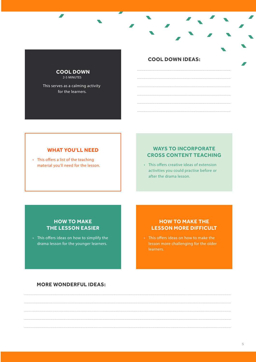

**A** 

This serves as a calming activity for the learners.

#### **WHAT YOU'LL NEED**

• This offers a list of the teaching material you'll need for the lesson.

#### **COOL DOWN IDEAS:**

\_\_\_\_\_\_\_\_\_\_\_\_\_\_\_\_\_\_\_\_\_\_\_\_\_\_\_\_\_\_\_\_\_\_\_\_\_\_\_\_\_\_\_ \_\_\_\_\_\_\_\_\_\_\_\_\_\_\_\_\_\_\_\_\_\_\_\_\_\_\_\_\_\_\_\_\_\_\_\_\_\_\_\_\_\_\_ \_\_\_\_\_\_\_\_\_\_\_\_\_\_\_\_\_\_\_\_\_\_\_\_\_\_\_\_\_\_\_\_\_\_\_\_\_\_\_\_\_\_\_ \_\_\_\_\_\_\_\_\_\_\_\_\_\_\_\_\_\_\_\_\_\_\_\_\_\_\_\_\_\_\_\_\_\_\_\_\_\_\_\_\_\_\_ \_\_\_\_\_\_\_\_\_\_\_\_\_\_\_\_\_\_\_\_\_\_\_\_\_\_\_\_\_\_\_\_\_\_\_\_\_\_\_\_\_\_\_ \_\_\_\_\_\_\_\_\_\_\_\_\_\_\_\_\_\_\_\_\_\_\_\_\_\_\_\_\_\_\_\_\_\_\_\_\_\_\_\_\_\_\_

#### **WAYS TO INCORPORATE CROSS CONTENT TEACHING**

• This offers creative ideas of extension activities you could practise before or after the drama lesson.

#### **HOW TO MAKE THE LESSON EASIER**

• This offers ideas on how to simplify the drama lesson for the younger learners.

#### **HOW TO MAKE THE LESSON MORE DIFFICULT**

• This offers ideas on how to make the lesson more challenging for the older learners.

#### **MORE WONDERFUL IDEAS:**

\_\_\_\_\_\_\_\_\_\_\_\_\_\_\_\_\_\_\_\_\_\_\_\_\_\_\_\_\_\_\_\_\_\_\_\_\_\_\_\_\_\_\_\_\_\_\_\_\_\_\_\_\_\_\_\_\_\_\_\_\_\_\_\_\_\_\_\_\_\_\_\_\_\_\_\_\_\_\_\_\_\_\_\_\_\_\_\_\_\_\_\_\_\_\_ \_\_\_\_\_\_\_\_\_\_\_\_\_\_\_\_\_\_\_\_\_\_\_\_\_\_\_\_\_\_\_\_\_\_\_\_\_\_\_\_\_\_\_\_\_\_\_\_\_\_\_\_\_\_\_\_\_\_\_\_\_\_\_\_\_\_\_\_\_\_\_\_\_\_\_\_\_\_\_\_\_\_\_\_\_\_\_\_\_\_\_\_\_\_\_ \_\_\_\_\_\_\_\_\_\_\_\_\_\_\_\_\_\_\_\_\_\_\_\_\_\_\_\_\_\_\_\_\_\_\_\_\_\_\_\_\_\_\_\_\_\_\_\_\_\_\_\_\_\_\_\_\_\_\_\_\_\_\_\_\_\_\_\_\_\_\_\_\_\_\_\_\_\_\_\_\_\_\_\_\_\_\_\_\_\_\_\_\_\_\_ \_\_\_\_\_\_\_\_\_\_\_\_\_\_\_\_\_\_\_\_\_\_\_\_\_\_\_\_\_\_\_\_\_\_\_\_\_\_\_\_\_\_\_\_\_\_\_\_\_\_\_\_\_\_\_\_\_\_\_\_\_\_\_\_\_\_\_\_\_\_\_\_\_\_\_\_\_\_\_\_\_\_\_\_\_\_\_\_\_\_\_\_\_\_\_ \_\_\_\_\_\_\_\_\_\_\_\_\_\_\_\_\_\_\_\_\_\_\_\_\_\_\_\_\_\_\_\_\_\_\_\_\_\_\_\_\_\_\_\_\_\_\_\_\_\_\_\_\_\_\_\_\_\_\_\_\_\_\_\_\_\_\_\_\_\_\_\_\_\_\_\_\_\_\_\_\_\_\_\_\_\_\_\_\_\_\_\_\_\_\_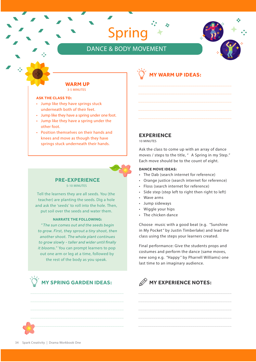### DANCE & BODY MOVEMENT

Spring



#### **ASK THE CLASS TO:**

- Jump like they have springs stuck underneath both of their feet.
- Jump like they have a spring under one foot.
- Jump like they have a spring under the other foot.
- Position themselves on their hands and knees and move as though they have springs stuck underneath their hands.



#### **PRE-EXPERIENCE** 5-10 MINUTES

Tell the learners they are all seeds. You (the teacher) are planting the seeds. Dig a hole and ask the 'seeds' to roll into the hole. Then, put soil over the seeds and water them.

#### **NARRATE THE FOLLOWING:**

"*The sun comes out and the seeds begin to grow. First, they sprout a tiny shoot, then another shoot. The whole plant continues to grow slowly - taller and wider until nally it blooms.*" You can prompt learners to pop out one arm or leg at a time, followed by the rest of the body as you speak.



#### **EXPERIENCE**

10 MINUTES

Ask the class to come up with an array of dance moves / steps to the title, " *A Spring in my Step.*" Each move should be to the count of eight.

#### **DANCE MOVE IDEAS:**

• The Dab (search internet for reference)

**MY WARM UP IDEAS:**

- Orange justice (search internet for reference)
- Floss (search internet for reference)
- Side step (step left to right then right to left)
- Wave arms
- Jump sideways
- Wiggle your hips
- The chicken dance

Choose music with a good beat (e.g. *"Sunshine in My Pocket"* by Justin Timberlake) and lead the class using the steps your learners created.

Final performance: Give the students props and costumes and perform the dance (same moves, new song e.g. *"Happy"* by Pharrell Williams) one last time to an imaginary audience.

\_\_\_\_\_\_\_\_\_\_\_\_\_\_\_\_\_\_\_\_\_\_\_\_\_\_\_\_\_\_\_\_\_\_\_\_\_\_\_\_\_\_\_ \_\_\_\_\_\_\_\_\_\_\_\_\_\_\_\_\_\_\_\_\_\_\_\_\_\_\_\_\_\_\_\_\_\_\_\_\_\_\_\_\_\_\_ \_\_\_\_\_\_\_\_\_\_\_\_\_\_\_\_\_\_\_\_\_\_\_\_\_\_\_\_\_\_\_\_\_\_\_\_\_\_\_\_\_\_\_ \_\_\_\_\_\_\_\_\_\_\_\_\_\_\_\_\_\_\_\_\_\_\_\_\_\_\_\_\_\_\_\_\_\_\_\_\_\_\_\_\_\_\_ \_\_\_\_\_\_\_\_\_\_\_\_\_\_\_\_\_\_\_\_\_\_\_\_\_\_\_\_\_\_\_\_\_\_\_\_\_\_\_\_\_\_\_

## **MY EXPERIENCE NOTES:**

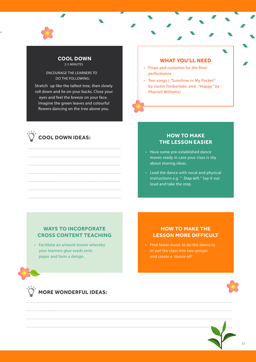

#### **COOL DOWN**  2-5 MINUTES

ENCOURAGE THE LEARNERS TO DO THE FOLLOWING:

Stretch up like the tallest tree, then slowly roll down and lie on your backs. Close your eyes and feel the breeze on your face. Imagine the green leaves and colourful flowers dancing on the tree above you.

\_\_\_\_\_\_\_\_\_\_\_\_\_\_\_\_\_\_\_\_\_\_\_\_\_\_\_\_\_\_\_\_\_\_\_\_\_\_\_\_\_\_\_ \_\_\_\_\_\_\_\_\_\_\_\_\_\_\_\_\_\_\_\_\_\_\_\_\_\_\_\_\_\_\_\_\_\_\_\_\_\_\_\_\_\_\_ \_\_\_\_\_\_\_\_\_\_\_\_\_\_\_\_\_\_\_\_\_\_\_\_\_\_\_\_\_\_\_\_\_\_\_\_\_\_\_\_\_\_\_ \_\_\_\_\_\_\_\_\_\_\_\_\_\_\_\_\_\_\_\_\_\_\_\_\_\_\_\_\_\_\_\_\_\_\_\_\_\_\_\_\_\_\_ \_\_\_\_\_\_\_\_\_\_\_\_\_\_\_\_\_\_\_\_\_\_\_\_\_\_\_\_\_\_\_\_\_\_\_\_\_\_\_\_\_\_\_ \_\_\_\_\_\_\_\_\_\_\_\_\_\_\_\_\_\_\_\_\_\_\_\_\_\_\_\_\_\_\_\_\_\_\_\_\_\_\_\_\_\_\_ \_\_\_\_\_\_\_\_\_\_\_\_\_\_\_\_\_\_\_\_\_\_\_\_\_\_\_\_\_\_\_\_\_\_\_\_\_\_\_\_\_\_\_

## **COOL DOWN IDEAS:**

#### **WHAT YOU'LL NEED**

- Props and costumes for the final performance
- Two songs ( *"Sunshine in My Pocket"* by Justin Timberlake, and *"Happy"* by Pharrell Williams)

#### **HOW TO MAKE THE LESSON EASIER**

- Have some pre-established dance moves ready in case your class is shy about sharing ideas.
- Lead the dance with vocal and physical instructions e.g. " *Step left.*" Say it out loud and take the step.

#### **WAYS TO INCORPORATE CROSS CONTENT TEACHING**

• Facilitate an artwork lesson whereby your learners glue seeds onto paper and form a design.

#### **HOW TO MAKE THE LESSON MORE DIFFICULT**

• Find faster music to do the dance to or put the class into two groups and create a 'dance-off'.

\_\_\_\_\_\_\_\_\_\_\_\_\_\_\_\_\_\_\_\_\_\_\_\_\_\_\_\_\_\_\_\_\_\_\_\_\_\_\_\_\_\_\_\_\_\_\_\_\_\_\_\_\_\_\_\_\_\_\_\_\_\_\_\_\_\_\_\_\_\_\_\_\_\_\_\_\_\_\_\_\_\_\_\_\_\_\_\_\_\_\_\_\_\_\_ \_\_\_\_\_\_\_\_\_\_\_\_\_\_\_\_\_\_\_\_\_\_\_\_\_\_\_\_\_\_\_\_\_\_\_\_\_\_\_\_\_\_\_\_\_\_\_\_\_\_\_\_\_\_\_\_\_\_\_\_\_\_\_\_\_\_\_\_\_\_\_\_\_\_\_\_\_\_\_\_\_\_\_\_\_\_\_\_\_\_\_\_\_\_\_